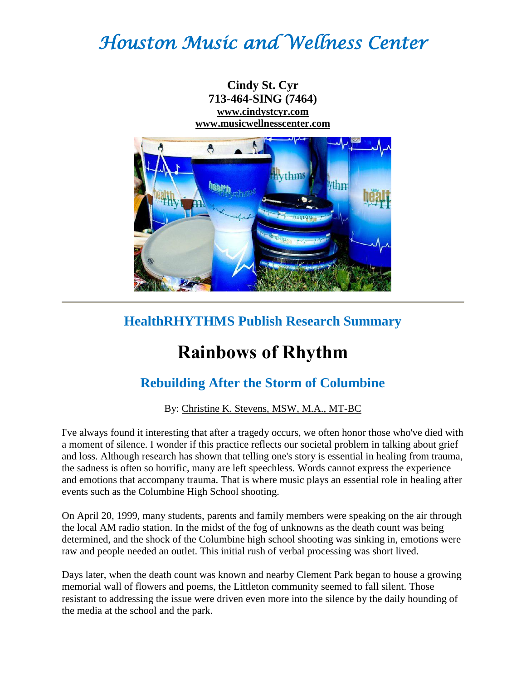# *Houston Music and Wellness Center*



## **HealthRHYTHMS Publish Research Summary**

## **Rainbows of Rhythm**

## **Rebuilding After the Storm of Columbine**

#### By: Christine K. Stevens, MSW, M.A., MT-BC

I've always found it interesting that after a tragedy occurs, we often honor those who've died with a moment of silence. I wonder if this practice reflects our societal problem in talking about grief and loss. Although research has shown that telling one's story is essential in healing from trauma, the sadness is often so horrific, many are left speechless. Words cannot express the experience and emotions that accompany trauma. That is where music plays an essential role in healing after events such as the Columbine High School shooting.

On April 20, 1999, many students, parents and family members were speaking on the air through the local AM radio station. In the midst of the fog of unknowns as the death count was being determined, and the shock of the Columbine high school shooting was sinking in, emotions were raw and people needed an outlet. This initial rush of verbal processing was short lived.

Days later, when the death count was known and nearby Clement Park began to house a growing memorial wall of flowers and poems, the Littleton community seemed to fall silent. Those resistant to addressing the issue were driven even more into the silence by the daily hounding of the media at the school and the park.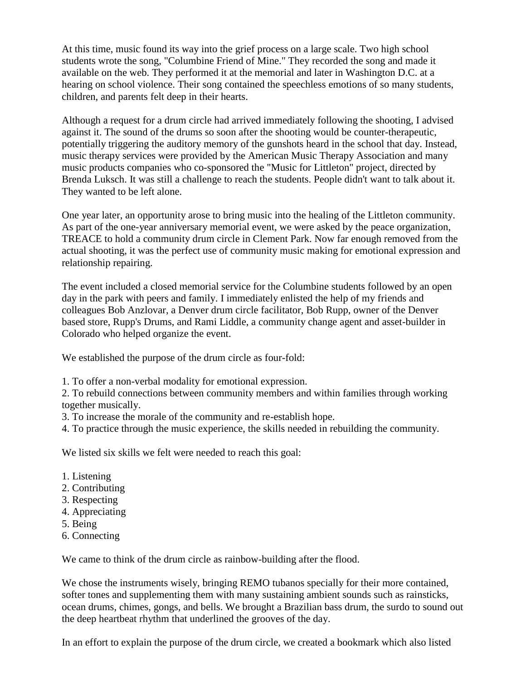At this time, music found its way into the grief process on a large scale. Two high school students wrote the song, "Columbine Friend of Mine." They recorded the song and made it available on the web. They performed it at the memorial and later in Washington D.C. at a hearing on school violence. Their song contained the speechless emotions of so many students, children, and parents felt deep in their hearts.

Although a request for a drum circle had arrived immediately following the shooting, I advised against it. The sound of the drums so soon after the shooting would be counter-therapeutic, potentially triggering the auditory memory of the gunshots heard in the school that day. Instead, music therapy services were provided by the American Music Therapy Association and many music products companies who co-sponsored the "Music for Littleton" project, directed by Brenda Luksch. It was still a challenge to reach the students. People didn't want to talk about it. They wanted to be left alone.

One year later, an opportunity arose to bring music into the healing of the Littleton community. As part of the one-year anniversary memorial event, we were asked by the peace organization, TREACE to hold a community drum circle in Clement Park. Now far enough removed from the actual shooting, it was the perfect use of community music making for emotional expression and relationship repairing.

The event included a closed memorial service for the Columbine students followed by an open day in the park with peers and family. I immediately enlisted the help of my friends and colleagues Bob Anzlovar, a Denver drum circle facilitator, Bob Rupp, owner of the Denver based store, Rupp's Drums, and Rami Liddle, a community change agent and asset-builder in Colorado who helped organize the event.

We established the purpose of the drum circle as four-fold:

1. To offer a non-verbal modality for emotional expression.

2. To rebuild connections between community members and within families through working together musically.

3. To increase the morale of the community and re-establish hope.

4. To practice through the music experience, the skills needed in rebuilding the community.

We listed six skills we felt were needed to reach this goal:

- 1. Listening
- 2. Contributing
- 3. Respecting
- 4. Appreciating
- 5. Being
- 6. Connecting

We came to think of the drum circle as rainbow-building after the flood.

We chose the instruments wisely, bringing REMO tubanos specially for their more contained, softer tones and supplementing them with many sustaining ambient sounds such as rainsticks, ocean drums, chimes, gongs, and bells. We brought a Brazilian bass drum, the surdo to sound out the deep heartbeat rhythm that underlined the grooves of the day.

In an effort to explain the purpose of the drum circle, we created a bookmark which also listed